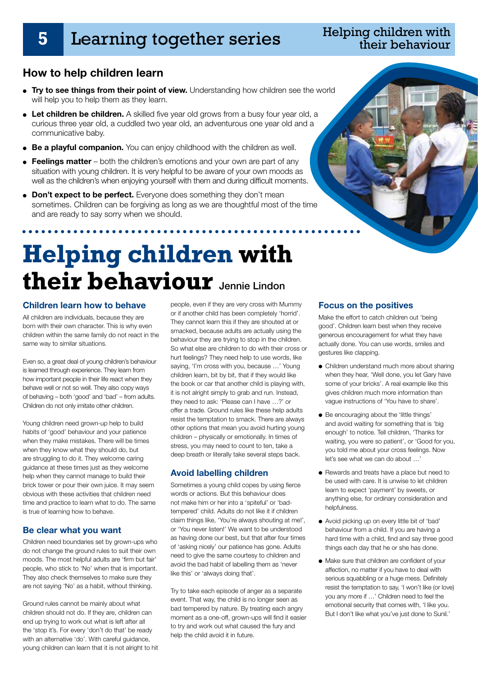## **5** Learning together series

### Helping children with their behaviour

### **How to help children learn**

- **Try to see things from their point of view.** Understanding how children see the world will help you to help them as they learn.
- Let children be children. A skilled five year old grows from a busy four year old, a curious three year old, a cuddled two year old, an adventurous one year old and a communicative baby.
- **Be a playful companion.** You can enjoy childhood with the children as well.
- **Feelings matter** both the children's emotions and your own are part of any situation with young children. It is very helpful to be aware of your own moods as well as the children's when enjoying yourself with them and during difficult moments.
- **Don't expect to be perfect.** Everyone does something they don't mean sometimes. Children can be forgiving as long as we are thoughtful most of the time and are ready to say sorry when we should.

 $\cdots$ 

# **Helping children with their behaviour** Jennie Lindon

#### **Children learn how to behave**

All children are individuals, because they are born with their own character. This is why even children within the same family do not react in the same way to similar situations.

Even so, a great deal of young children's behaviour is learned through experience. They learn from how important people in their life react when they behave well or not so well. They also copy ways of behaving – both 'good' and 'bad' – from adults. Children do not only imitate other children.

Young children need grown-up help to build habits of 'good' behaviour and your patience when they make mistakes. There will be times when they know what they should do, but are struggling to do it. They welcome caring guidance at these times just as they welcome help when they cannot manage to build their brick tower or pour their own juice. It may seem obvious with these activities that children need time and practice to learn what to do. The same is true of learning how to behave.

#### **Be clear what you want**

Children need boundaries set by grown-ups who do not change the ground rules to suit their own moods. The most helpful adults are 'firm but fair' people, who stick to 'No' when that is important. They also check themselves to make sure they are not saying 'No' as a habit, without thinking.

Ground rules cannot be mainly about what children should not do. If they are, children can end up trying to work out what is left after all the 'stop it's. For every 'don't do that' be ready with an alternative 'do'. With careful guidance, young children can learn that it is not alright to hit people, even if they are very cross with Mummy or if another child has been completely 'horrid'. They cannot learn this if they are shouted at or smacked, because adults are actually using the behaviour they are trying to stop in the children. So what else are children to do with their cross or hurt feelings? They need help to use words, like saying, 'I'm cross with you, because …' Young children learn, bit by bit, that if they would like the book or car that another child is playing with, it is not alright simply to grab and run. Instead, they need to ask: 'Please can I have …?' or offer a trade. Ground rules like these help adults resist the temptation to smack. There are always other options that mean you avoid hurting young children – physically or emotionally. In times of stress, you may need to count to ten, take a deep breath or literally take several steps back.

#### **Avoid labelling children**

Sometimes a young child copes by using fierce words or actions. But this behaviour does not make him or her into a 'spiteful' or 'badtempered' child. Adults do not like it if children claim things like, 'You're always shouting at me!', or 'You never listen!' We want to be understood as having done our best, but that after four times of 'asking nicely' our patience has gone. Adults need to give the same courtesy to children and avoid the bad habit of labelling them as 'never like this' or 'always doing that'.

Try to take each episode of anger as a separate event. That way, the child is no longer seen as bad tempered by nature. By treating each angry moment as a one-off, grown-ups will find it easier to try and work out what caused the fury and help the child avoid it in future.

#### **Focus on the positives**

Make the effort to catch children out 'being good'. Children learn best when they receive generous encouragement for what they have actually done. You can use words, smiles and gestures like clapping.

- Children understand much more about sharing when they hear, 'Well done, you let Gary have some of your bricks'. A real example like this gives children much more information than vague instructions of 'You have to share'.
- Be encouraging about the 'little things' and avoid waiting for something that is 'big enough' to notice. Tell children, 'Thanks for waiting, you were so patient', or 'Good for you, you told me about your cross feelings. Now let's see what we can do about …'
- Rewards and treats have a place but need to be used with care. It is unwise to let children learn to expect 'payment' by sweets, or anything else, for ordinary consideration and helpfulness.
- Avoid picking up on every little bit of 'bad' behaviour from a child. If you are having a hard time with a child, find and say three good things each day that he or she has done.
- Make sure that children are confident of your affection, no matter if you have to deal with serious squabbling or a huge mess. Definitely resist the temptation to say, 'I won't like (or love) you any more if …' Children need to feel the emotional security that comes with, 'I like you. But I don't like what you've just done to Sunil.'